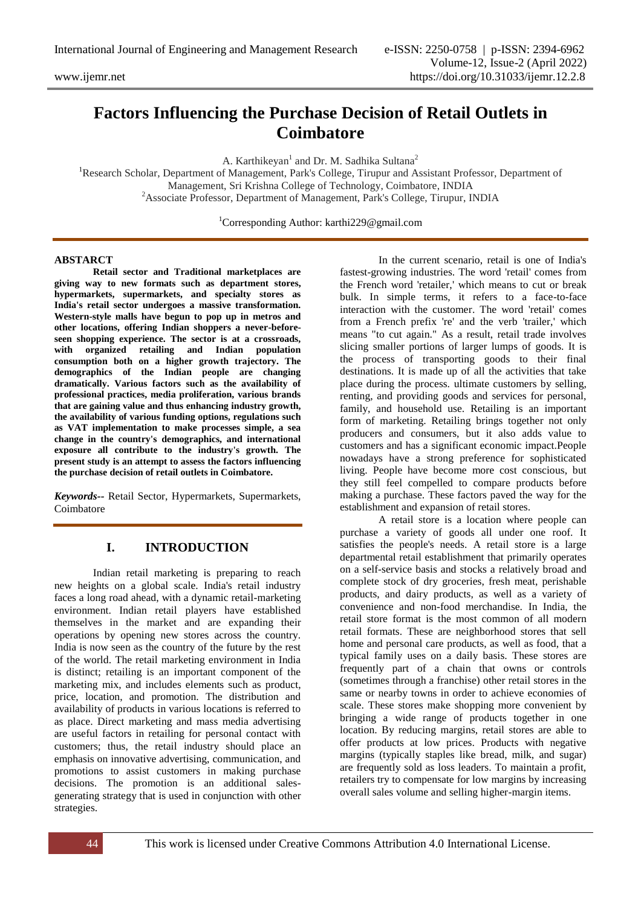# **Factors Influencing the Purchase Decision of Retail Outlets in Coimbatore**

A. Karthikeyan<sup>1</sup> and Dr. M. Sadhika Sultana<sup>2</sup>

<sup>1</sup>Research Scholar, Department of Management, Park's College, Tirupur and Assistant Professor, Department of Management, Sri Krishna College of Technology, Coimbatore, INDIA <sup>2</sup>Associate Professor, Department of Management, Park's College, Tirupur, INDIA

<sup>1</sup>Corresponding Author: karthi229@gmail.com

#### **ABSTARCT**

**Retail sector and Traditional marketplaces are giving way to new formats such as department stores, hypermarkets, supermarkets, and specialty stores as India's retail sector undergoes a massive transformation. Western-style malls have begun to pop up in metros and other locations, offering Indian shoppers a never-beforeseen shopping experience. The sector is at a crossroads, with organized retailing and Indian population consumption both on a higher growth trajectory. The demographics of the Indian people are changing dramatically. Various factors such as the availability of professional practices, media proliferation, various brands that are gaining value and thus enhancing industry growth, the availability of various funding options, regulations such as VAT implementation to make processes simple, a sea change in the country's demographics, and international exposure all contribute to the industry's growth. The present study is an attempt to assess the factors influencing the purchase decision of retail outlets in Coimbatore.**

*Keywords--* Retail Sector, Hypermarkets, Supermarkets, Coimbatore

## **I. INTRODUCTION**

Indian retail marketing is preparing to reach new heights on a global scale. India's retail industry faces a long road ahead, with a dynamic retail-marketing environment. Indian retail players have established themselves in the market and are expanding their operations by opening new stores across the country. India is now seen as the country of the future by the rest of the world. The retail marketing environment in India is distinct; retailing is an important component of the marketing mix, and includes elements such as product, price, location, and promotion. The distribution and availability of products in various locations is referred to as place. Direct marketing and mass media advertising are useful factors in retailing for personal contact with customers; thus, the retail industry should place an emphasis on innovative advertising, communication, and promotions to assist customers in making purchase decisions. The promotion is an additional salesgenerating strategy that is used in conjunction with other strategies.

In the current scenario, retail is one of India's fastest-growing industries. The word 'retail' comes from the French word 'retailer,' which means to cut or break bulk. In simple terms, it refers to a face-to-face interaction with the customer. The word 'retail' comes from a French prefix 're' and the verb 'trailer,' which means "to cut again." As a result, retail trade involves slicing smaller portions of larger lumps of goods. It is the process of transporting goods to their final destinations. It is made up of all the activities that take place during the process. ultimate customers by selling, renting, and providing goods and services for personal, family, and household use. Retailing is an important form of marketing. Retailing brings together not only producers and consumers, but it also adds value to customers and has a significant economic impact.People nowadays have a strong preference for sophisticated living. People have become more cost conscious, but they still feel compelled to compare products before making a purchase. These factors paved the way for the establishment and expansion of retail stores.

A retail store is a location where people can purchase a variety of goods all under one roof. It satisfies the people's needs. A retail store is a large departmental retail establishment that primarily operates on a self-service basis and stocks a relatively broad and complete stock of dry groceries, fresh meat, perishable products, and dairy products, as well as a variety of convenience and non-food merchandise. In India, the retail store format is the most common of all modern retail formats. These are neighborhood stores that sell home and personal care products, as well as food, that a typical family uses on a daily basis. These stores are frequently part of a chain that owns or controls (sometimes through a franchise) other retail stores in the same or nearby towns in order to achieve economies of scale. These stores make shopping more convenient by bringing a wide range of products together in one location. By reducing margins, retail stores are able to offer products at low prices. Products with negative margins (typically staples like bread, milk, and sugar) are frequently sold as loss leaders. To maintain a profit, retailers try to compensate for low margins by increasing overall sales volume and selling higher-margin items.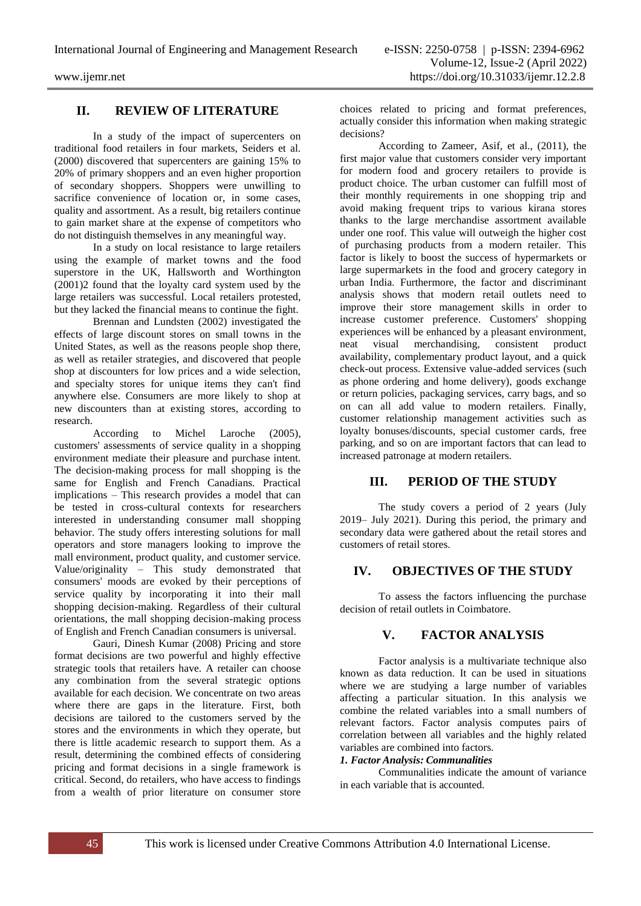## **II. REVIEW OF LITERATURE**

In a study of the impact of supercenters on traditional food retailers in four markets, Seiders et al. (2000) discovered that supercenters are gaining 15% to 20% of primary shoppers and an even higher proportion of secondary shoppers. Shoppers were unwilling to sacrifice convenience of location or, in some cases, quality and assortment. As a result, big retailers continue to gain market share at the expense of competitors who do not distinguish themselves in any meaningful way.

In a study on local resistance to large retailers using the example of market towns and the food superstore in the UK, Hallsworth and Worthington (2001)2 found that the loyalty card system used by the large retailers was successful. Local retailers protested, but they lacked the financial means to continue the fight.

Brennan and Lundsten (2002) investigated the effects of large discount stores on small towns in the United States, as well as the reasons people shop there, as well as retailer strategies, and discovered that people shop at discounters for low prices and a wide selection, and specialty stores for unique items they can't find anywhere else. Consumers are more likely to shop at new discounters than at existing stores, according to research.

According to Michel Laroche (2005), customers' assessments of service quality in a shopping environment mediate their pleasure and purchase intent. The decision-making process for mall shopping is the same for English and French Canadians. Practical implications – This research provides a model that can be tested in cross-cultural contexts for researchers interested in understanding consumer mall shopping behavior. The study offers interesting solutions for mall operators and store managers looking to improve the mall environment, product quality, and customer service. Value/originality – This study demonstrated that consumers' moods are evoked by their perceptions of service quality by incorporating it into their mall shopping decision-making. Regardless of their cultural orientations, the mall shopping decision-making process of English and French Canadian consumers is universal.

Gauri, Dinesh Kumar (2008) Pricing and store format decisions are two powerful and highly effective strategic tools that retailers have. A retailer can choose any combination from the several strategic options available for each decision. We concentrate on two areas where there are gaps in the literature. First, both decisions are tailored to the customers served by the stores and the environments in which they operate, but there is little academic research to support them. As a result, determining the combined effects of considering pricing and format decisions in a single framework is critical. Second, do retailers, who have access to findings from a wealth of prior literature on consumer store

choices related to pricing and format preferences, actually consider this information when making strategic decisions?

According to Zameer, Asif, et al., (2011), the first major value that customers consider very important for modern food and grocery retailers to provide is product choice. The urban customer can fulfill most of their monthly requirements in one shopping trip and avoid making frequent trips to various kirana stores thanks to the large merchandise assortment available under one roof. This value will outweigh the higher cost of purchasing products from a modern retailer. This factor is likely to boost the success of hypermarkets or large supermarkets in the food and grocery category in urban India. Furthermore, the factor and discriminant analysis shows that modern retail outlets need to improve their store management skills in order to increase customer preference. Customers' shopping experiences will be enhanced by a pleasant environment,<br>neat visual merchandising, consistent product neat visual merchandising, consistent product availability, complementary product layout, and a quick check-out process. Extensive value-added services (such as phone ordering and home delivery), goods exchange or return policies, packaging services, carry bags, and so on can all add value to modern retailers. Finally, customer relationship management activities such as loyalty bonuses/discounts, special customer cards, free parking, and so on are important factors that can lead to increased patronage at modern retailers.

## **III. PERIOD OF THE STUDY**

The study covers a period of 2 years (July 2019– July 2021). During this period, the primary and secondary data were gathered about the retail stores and customers of retail stores.

## **IV. OBJECTIVES OF THE STUDY**

To assess the factors influencing the purchase decision of retail outlets in Coimbatore.

## **V. FACTOR ANALYSIS**

Factor analysis is a multivariate technique also known as data reduction. It can be used in situations where we are studying a large number of variables affecting a particular situation. In this analysis we combine the related variables into a small numbers of relevant factors. Factor analysis computes pairs of correlation between all variables and the highly related variables are combined into factors.

#### *1. Factor Analysis: Communalities*

Communalities indicate the amount of variance in each variable that is accounted.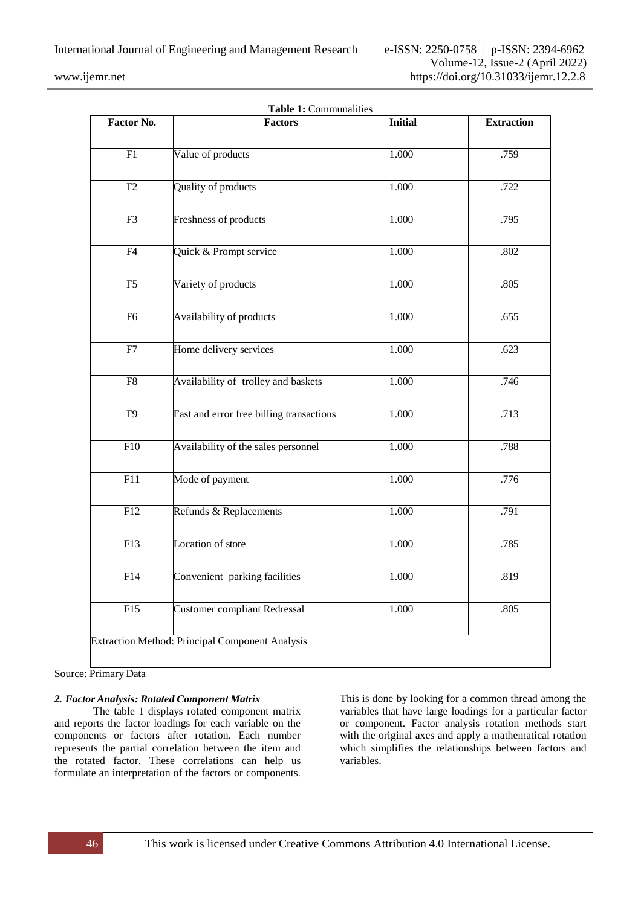| Factor No.       | <b>Factors</b>                           | <b>Initial</b> | <b>Extraction</b><br>.759<br>.722 |  |
|------------------|------------------------------------------|----------------|-----------------------------------|--|
| F1               | Value of products                        | 1.000          |                                   |  |
| $\overline{F2}$  | Quality of products                      | 1.000          |                                   |  |
| F3               | Freshness of products                    | 1.000          | .795                              |  |
| F4               | Quick & Prompt service                   | 1.000          | .802                              |  |
| F <sub>5</sub>   | Variety of products                      | 1.000          | .805                              |  |
| F <sub>6</sub>   | Availability of products                 | 1.000          | .655                              |  |
| ${\rm F}7$       | Home delivery services                   | 1.000          | .623                              |  |
| F8               | Availability of trolley and baskets      | 1.000          | .746                              |  |
| F <sub>9</sub>   | Fast and error free billing transactions | 1.000          | .713                              |  |
| F10              | Availability of the sales personnel      | 1.000          | .788                              |  |
| $\overline{F11}$ | Mode of payment                          | 1.000          | .776                              |  |
| $\overline{F12}$ | Refunds & Replacements                   | 1.000          | .791                              |  |
| F13              | Location of store                        | 1.000          | .785                              |  |
| F14              | Convenient parking facilities            | 1.000          | .819                              |  |
| $\overline{F15}$ | <b>Customer compliant Redressal</b>      | 1.000          | .805                              |  |

Source: Primary Data

#### *2. Factor Analysis: Rotated Component Matrix*

The table 1 displays rotated component matrix and reports the factor loadings for each variable on the components or factors after rotation. Each number represents the partial correlation between the item and the rotated factor. These correlations can help us formulate an interpretation of the factors or components. This is done by looking for a common thread among the variables that have large loadings for a particular factor or component. Factor analysis rotation methods start with the original axes and apply a mathematical rotation which simplifies the relationships between factors and variables.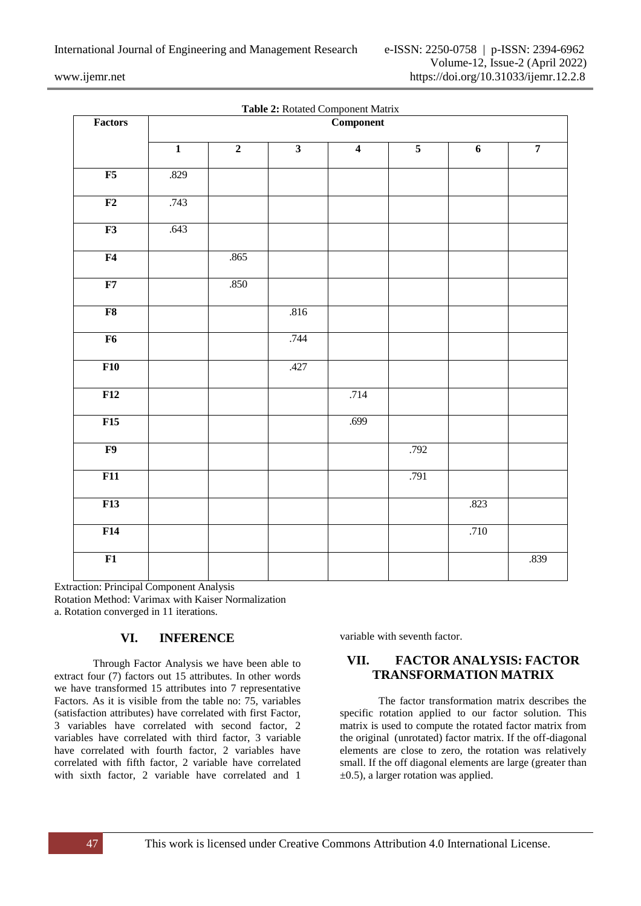| Factors        | <b>Table 2.</b> Notated Component Matrix<br><b>Component</b> |                |                         |                         |                |      |                |  |
|----------------|--------------------------------------------------------------|----------------|-------------------------|-------------------------|----------------|------|----------------|--|
|                | $\overline{1}$                                               | $\overline{2}$ | $\overline{\mathbf{3}}$ | $\overline{\mathbf{4}}$ | $\overline{5}$ | 6    | $\overline{7}$ |  |
| F5             | .829                                                         |                |                         |                         |                |      |                |  |
| F2             | .743                                                         |                |                         |                         |                |      |                |  |
| F3             | .643                                                         |                |                         |                         |                |      |                |  |
| F <sub>4</sub> |                                                              | .865           |                         |                         |                |      |                |  |
| F7             |                                                              | .850           |                         |                         |                |      |                |  |
| F8             |                                                              |                | .816                    |                         |                |      |                |  |
| F6             |                                                              |                | .744                    |                         |                |      |                |  |
| F10            |                                                              |                | .427                    |                         |                |      |                |  |
| F12            |                                                              |                |                         | .714                    |                |      |                |  |
| F15            |                                                              |                |                         | .699                    |                |      |                |  |
| F9             |                                                              |                |                         |                         | .792           |      |                |  |
| F11            |                                                              |                |                         |                         | .791           |      |                |  |
| F13            |                                                              |                |                         |                         |                | .823 |                |  |
| F14            |                                                              |                |                         |                         |                | .710 |                |  |
| F1             |                                                              |                |                         |                         |                |      | .839           |  |

**Table 2:** Rotated Component Matrix

Extraction: Principal Component Analysis Rotation Method: Varimax with Kaiser Normalization a. Rotation converged in 11 iterations.

## **VI. INFERENCE**

Through Factor Analysis we have been able to extract four (7) factors out 15 attributes. In other words we have transformed 15 attributes into 7 representative Factors. As it is visible from the table no: 75, variables (satisfaction attributes) have correlated with first Factor, 3 variables have correlated with second factor, 2 variables have correlated with third factor, 3 variable have correlated with fourth factor, 2 variables have correlated with fifth factor, 2 variable have correlated with sixth factor, 2 variable have correlated and 1

variable with seventh factor.

## **VII. FACTOR ANALYSIS: FACTOR TRANSFORMATION MATRIX**

The factor transformation matrix describes the specific rotation applied to our factor solution. This matrix is used to compute the rotated factor matrix from the original (unrotated) factor matrix. If the off-diagonal elements are close to zero, the rotation was relatively small. If the off diagonal elements are large (greater than  $\pm 0.5$ ), a larger rotation was applied.